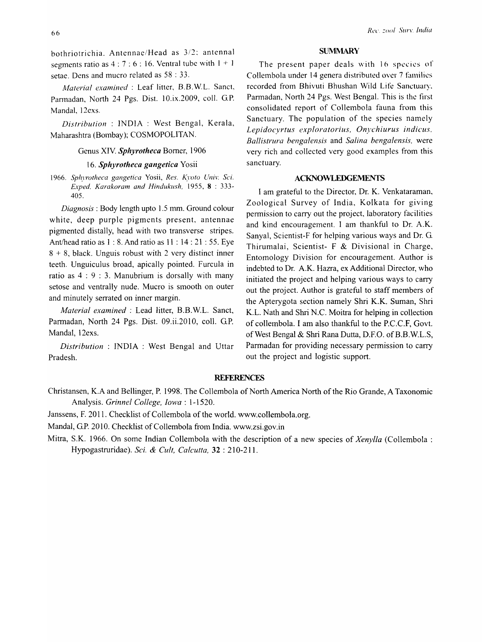bothriotrichia. Antennae/Head as 3/2: antennal segments ratio as  $4:7:6:16$ . Ventral tube with  $1 + 1$ setae. Dens and mucro related as 58 : 33.

*Material examined:* Leaf litter, B.B.W.L. Sanct, Parmadan, North 24 Pgs. Dist. 10.ix.2009, colI. G.P. MandaI, 12exs.

*Distribution* : INDIA : West Bengal, Kerala, Maharashtra (Bombay); COSMOPOLITAN.

### Genus XIV. *Sphyrotheca* Bomer, 1906

## *16. Sphyrotheca gangetica* Yosii

1966. Sphyrotheca gangetica Yosii, Res. Kyoto Univ. Sci. *Exped. Karakoram and Hindukush,* 1955, 8 : 333- 405.

*Diagnosis:* Body length upto 1.5 tnm. Ground colour white, deep purple pigments present, antennae pigmented distally, head with two transverse stripes. Ant/head ratio as 1:8. And ratio as 11:14:21:55. Eye  $8 + 8$ , black. Unguis robust with 2 very distinct inner teeth. Unguiculus broad, apically pointed. Furcula in ratio as 4 : 9 : 3. Manubrium is dorsally with many setose and ventrally nude. Mucro is smooth on outer and minutely serrated on inner margin.

*Material examined* : Lead litter, B.B. W.L. Sanct, Pannadan, North 24 Pgs. Dist. 09.ii.2010, colI. G.P. Mandai, 12exs.

*Distribution* : INDIA : West Bengal and Uttar Pradesh.

#### **SUMMARY**

The present paper deals with 16 species of Collembola under 14 genera distributed over 7 families recorded from Bhivuti Bhushan Wild Life Sanctuary. Parmadan, North 24 Pgs. West Bengal. This is the first consolidated report of Collembola fauna from this Sanctuary. The population of the species namely Lepidocyrtus exploratorius, Onychiurus indicus. *Ballistrura bengalensis* and *Salina bengalensis,* were very rich and collected very good examples from this sanctuary.

# ACKNOWLEDGEMENTS

I am grateful to the Director, Dr. K. Venkataraman, Zoological Survey of India, Kolkata for giving permission to carry out the project, laboratory facilities and kind encouragement. I am thankful to Dr. A.K. Sanyal, Scientist-F for helping various ways and Dr. G. Thirumalai, Scientist- F & Divisional in Charge, Entomology Division for encouragement. Author is indebted to Dr. A.K. Hazra, ex Additional Director, who initiated the project and helping various ways to carry out the project. Author is grateful to staff members of the Apterygota section namely Shri K.K. Suman, Shri K.L. Nath and Shri N.C. Moitra for helping in collection of collembola. I am also thankful to the P.C.C.F, Govt. of West Bengal & Shri Rana Dutta, D.F.O. of B.B.W.L.S, Parmadan for providing necessary permission to carry out the project and logistic support.

# **REFERENCES**

Christansen, K.A and Bellinger, P. 1998. The Collembola of North America North of the Rio Grande, A Taxonomic Analysis. *Grinnel College, Iowa: 1-1520.* 

Janssens, F. 2011. Checklist of Collembola of the world. www.collembola.org.

Mandal, G.P. 2010. Checklist of Collembola from India. www.zsi.gov.in

Mitra, S.K. 1966. On some Indian Collembola with the description of a new species of *Xenylla* (Collembola : Hypogastruridae). *Sci.* & *Cult, Calcutta,* 32 : 210-211.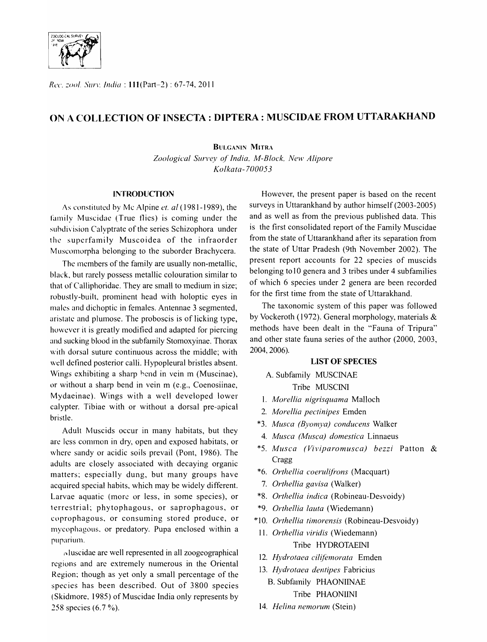

Rec. zool. Surv. *India*: 111 (Part-2): 67-74, 2011

# ON A COLLECTION OF INSECTA: DIPTERA : MUSCIDAE FROM UTTARAKHAND

BULGANIN MITRA

*Zoological Survey of India, M-Block, New Alipore Kolkata-l00053* 

## **INTRODUCTION**

As constituted by Mc Alpine *et. al* (1981-1989), the family Muscidae (True flies) is coming under the subdivision Calyptrate of the series Schizophora under the superfamily Muscoidea of the infraorder Muscomorpha belonging to the suborder Brachycera.

The members of the family are usually non-metallic, black, but rarely possess metallic colouration similar to that of Calliphoridae. They are small to medium in size; robustly-built, prominent head with holoptic eyes in males and dichoptic in females. Antennae 3 segmented, aristate and plumose. The proboscis is of licking type, however it is greatly modified and adapted for piercing and sucking blood in the subfamily Stomoxyinae. Thorax with dorsal suture continuous across the middle; with well defined posterior calli. Hypopleural bristles absent. Wings exhibiting a sharp hend in vein m (Muscinae), or without a sharp bend in vein m (e.g., Coenosiinae, Mydaeinae). Wings with a well developed lower calypter. Tibiae with or without a dorsal pre-apical bristle.

Adult Muscids occur in many habitats, but they are less common in dry, open and exposed habitats, or where sandy or acidic soils prevail (Pont, 1986). The adults are closely associated with decaying organic matters; especially dung, but many groups have acquired special habits, which may be widely different. Larvae aquatic (morc or less, in some species), or terrestrial; phytophagous, or saprophagous, or coprophagous, or consuming stored produce, or mycophagous, or predatory. Pupa enclosed within a puparium.

I\luscidae are well represented in all zoogeographical regions and are extremely numerous in the Oriental Region: though as yet only a small percentage of the species has been described. Out of 3800 species (Skidmore, 1985) of Muscidae India only represents by 258 species (6.7 %).

However, the present paper is based on the recent surveys in Uttarankhand by author himself (2003-2005) and as well as from the previous published data. This is the first consolidated report of the Family Muscidae from the state of Uttarankhand after its separation from the state of Uttar Pradesh (9th November 2002). The present report accounts for 22 species of muscids belonging to 10 genera and 3 tribes under 4 subfamilies of which 6 species under 2 genera are been recorded for the first time from the state of Uttarakhand.

The taxonomic system of this paper was followed by Vockeroth (1972). General morphology, materials & methods have been dealt in the "Fauna of Tripura" and other state fauna series of the author (2000, 2003, 2004, 2006).

## LIST OF SPECIES

- A. Subfamily MUSCINAE Tribe MUSCINI
- 1. *Morel/ia nigrisquama* Malloch
- 2. *Morel/ia pectinipes* Emden
- \*3. *Musca (Byomya) conducens* Walker
- 4. *Musca (Musca) domestica* Linnaeus
- \*5. *Musca (Viviparomusca) bezzi*  Patton & Cragg
- \*6. *Orthellia coerulifrons* (Macquart)
- 7. *Orthel/ia gavisa* (Walker)
- \*8. *Orthel/ia indica* (Robineau-Desvoidy)
- \*9. *Orthellia lauta* (Wiedemann)
- \*10. *Orthel/ia timorensis* (Robineau-Desvoidy)
- 11. *Orthel/ia viridis* (Wiedemann) Tribe HYDROTAEINI
- *12. Hydrotaea cilifemorata* Emden
- 13. Hydrotaea dentipes Fabricius B. Subfamily PHAONIINAE Tribe PHAONIINI
- *14. Helina nemorum* (Stein)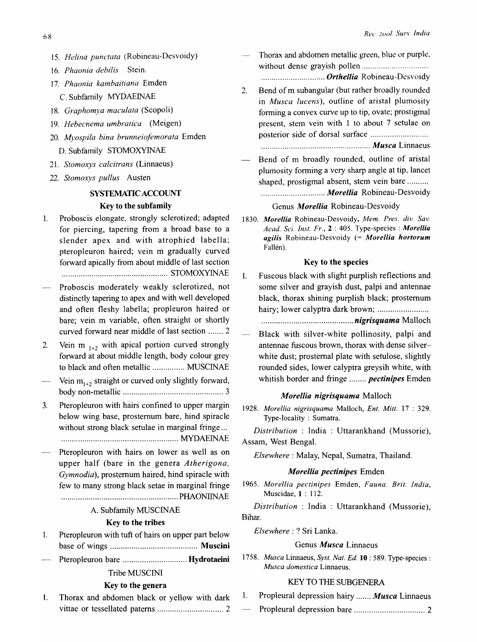- *15. Helina punctata* (Robineau-Desvoidy)
- *16. Phaonia debilis* Stein.
- *17. Phaonia kambaitiana* Emden C. Subfamily MYDAEINAE
- *18. Graphomya maeulata* (Scopoli)
- *19. Hebeenema umbratiea* (Meigen)
- *20. Myospila bina brunneiofemorata* Emden D. Subfamily STOMOXYINAE
- 2l. *Stomoxys ealcitrans* (Linnaeus)
- *22. Stomoxys pullus* Austen

# SYSTEMATIC ACCOUNT Key to the subfamily

- 1. Proboscis elongate, strongly sclerotized; adapted for piercing, tapering from a broad base to a slender apex and with atrophied labella; pteropleuron haired; vein m gradually curved forward apically from about middle of last section .................................................. STOMOXYINAE
- Proboscis moderately weakly sclerotized, not distinctly tapering to apex and with well developed and often fleshy labella; propleuron haired or bare; vein m variable, often straight or shortly curved forward near middle of last section ....... 2
- 2. Vein m  $_{1+2}$  with apical portion curved strongly forward at about middle length, body colour grey to black and often metallic ............... MUSClNAE
- Vein  $m_{1+2}$  straight or curved only slightly forward, body non-metallic ............................................... 3
- 3. Pteropleuron with hairs confined to upper margin below wing base, prostemum bare, hind spiracle without strong black setulae in marginal fringe ... ....................................................... MYDAEIN"AE
- Pteropleuron with hairs on lower as well as on upper half (bare in the genera *Atherigona, Gymnodia),* prostemum haired, hind spiracle with few to many strong black setae in marginal fringe ....................................................... PHAONIINAE

# A. Subfamily MUSCINAE

# Key to the tribes

- 1. Pteropleuron with tuft of hairs on upper part below base of wings ......................................... Muscini
- Pteropleuron bare .............................. Hydrotaeini

# Tribe MUSCINI

# Key to the genera

1. Thorax and abdomen black or yellow with dark vittae or tessellated patems ............................... 2

- Thorax and abdomen metallic green, blue or purple, without dense grayish pollen .............................. . . ............................. *Orthellia* Robineau-Dcsvoidy
- 2. Bend of m subangular (but rather broadly rounded in *Musea lueens),* outline of aristal plumosity forming a convex curve up to tip, ovate; prostigmal present, stem vein with 1 to about 7 setulae on posterior side of dorsal surface ......................... ..
	- ................................................... *Musca* Linnaeus
- Bend of m broadly rounded, outline of aristal plumosity forming a very sharp angle at tip, lancet shaped, prostigmal absent, stem vein bare ......... . .............................. *Morellia* Robineau-Desvoidy

# Genus *Morellia* Robineau-Desvoidy

*1830. Morellia* Robineau-Desvoidy, *Mem. Pres. div. Sav. Acad. Sci. Inst. Fr.,* 2 : 405. Type-species: *Morellia agilis* Robineau-Desvoidy (= *Morellia hortorum*  Fallén).

## Key to the species

1. Fuscous black with slight purplish reflections and some silver and grayish dust, palpi and antennae black, thorax shining purplish black; prostemum hairy; lower calyptra dark brown; ...................... ..

........................................... *nigrisquama* Malloch

Black with silver-white pollinosity, palpi and antennae fuscous brown, thorax with dense silverwhite dust; prostemal plate with setulose, slightly rounded sides, lower calyptra greysih white, with whitish border and fringe ........ *pectinipes* Emden

#### *Morellia nigrisquama* Malloch

*1928. Morellia nigrisquama* Malloch, *En!. Mitt.* 17 : 329. Type-locality: Sumatra.

*Distribution* : India : Uttarankhand (Mussorie), Assam, West Bengal.

*Elsewhere:* Malay, Nepal, Sumatra, Thailand.

### *M orellia pectinipes* Emden

*1965. Morellia pectinipes* Emden, *Fauna. Brit. India,*  Muscidae, 1: 112.

*Distribution* : India : Uttarankhand (Mussorie), Bihar.

*Elsewhere:* ? Sri Lanka.

# Genus *Musca* Linnaeus

*1758. Musca* Linnaeus, *Syst. Nat. Ed.* 10 : 589. Type-species: *Musca domestica* Linnaeus.

# KEY TO THE SUBGENERA

- 1. Propleural depression hairy ....... *Musca* Linnaeus
- Propleural depression bare ................................. 2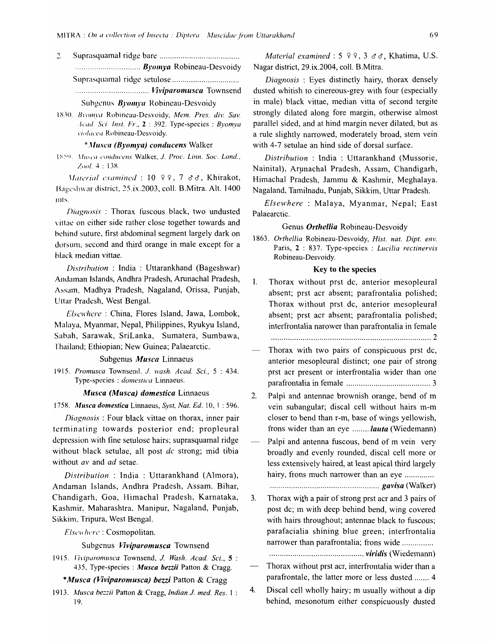$\overline{a}$ ..................................... Viviparomusca Townsend

Subgenus Byomya Robineau-Desvoidy

1830. Byomya Robineau-Desvoidy, Mem. Pres. div. Sav. Acad. Sci. Inst.  $Fr_{\alpha}$ , 2 : 392. Type-species : Byomya violacea Robineau-Desvoidy.

## \*Musca (Byomya) conducens Walker

1859. Musea conducens Walker, J. Proc. Linn. Soc. Lond., Zool. 4:138.

Material examined : 10 º º, 7 & &, Khirakot, Bageshwar district, 25.ix.2003, coll. B.Mitra. Alt. 1400 mts.

Diagnosis: Thorax fuscous black, two undusted vittae on either side rather close together towards and behind suture, first abdominal segment largely dark on dorsum, second and third orange in male except for a black median vittae.

Distribution: India: Uttarankhand (Bageshwar) Andaman Islands, Andhra Pradesh, Arunachal Pradesh, Assam, Madhya Pradesh, Nagaland, Orissa, Punjab, Uttar Pradesh, West Bengal.

Elsewhere: China, Flores Island, Jawa, Lombok, Malaya, Myanmar, Nepal, Philippines, Ryukyu Island, Sabah, Sarawak, SriLanka, Sumatera, Sumbawa, Thailand; Ethiopian; New Guinea; Palaearctic.

Subgenus *Musca* Linnaeus

1915. Promusca Townsend, J. wash. Acad. Sci., 5:434. Type-species : domestica Linnaeus.

#### Musca (Musca) domestica Linnaeus

1758. Musca domestica Linnaeus, Syst, Nat. Ed. 10, 1:596.

Diagnosis: Four black vittae on thorax, inner pair terminating towards posterior end; propleural depression with fine setulose hairs; suprasquamal ridge without black setulae, all post dc strong; mid tibia without av and ad setae.

Distribution: India: Uttarankhand (Almora), Andaman Islands, Andhra Pradesh, Assam. Bihar, Chandigarh, Goa, Himachal Pradesh, Karnataka, Kashmir, Maharashtra, Manipur, Nagaland, Punjab, Sikkim, Tripura, West Bengal.

Elsewhere: Cosmopolitan.

## Subgenus Viviparomusca Townsend

1915. Viviparomusca Townsend, J. Wash. Acad. Sci., 5: 435, Type-species : Musca bezzii Patton & Cragg.

## \*Musca (Viviparomusca) bezzi Patton & Cragg

1913. Musca bezzii Patton & Cragg, Indian J. med. Res. 1: 19.

Material examined :  $5 \,$   $9 \,$   $9 \,$ ,  $3 \,$   $3 \,$   $3 \,$ , Khatima, U.S. Nagar district, 29.ix.2004, coll. B.Mitra.

Diagnosis: Eyes distinctly hairy, thorax densely dusted whitish to cinereous-grey with four (especially in male) black vittae, median vitta of second tergite strongly dilated along fore margin, otherwise almost parallel sided, and at hind margin never dilated, but as a rule slightly narrowed, moderately broad, stem vein with 4-7 setulae an hind side of dorsal surface.

Distribution: India: Uttarankhand (Mussorie, Nainital), Arunachal Pradesh, Assam, Chandigarh, Himachal Pradesh, Jammu & Kashmir, Meghalaya. Nagaland, Tamilnadu, Punjab, Sikkim, Uttar Pradesh.

Elsewhere: Malaya, Myanmar, Nepal: East Palaearctic.

#### Genus *Orthellia* Robineau-Desvoidv

1863. Orthellia Robineau-Desvoidy, Hist. nat. Dipt. env. Paris, 2: 837. Type-species : Lucilia rectinervis Robineau-Desvoidy.

#### Key to the species

Thorax without prst dc, anterior mesopleural 1. absent; prst acr absent; parafrontalia polished; Thorax without prst dc, anterior mesopleural absent; prst acr absent; parafrontalia polished; interfrontalia narower than parafrontalia in female

- Thorax with two pairs of conspicuous prst dc, anterior mesopleural distinct; one pair of strong prst acr present or interfrontalia wider than one
- $2.$ Palpi and antennae brownish orange, bend of m vein subangular; discal cell without hairs m-m closer to bend than r-m, base of wings yellowish, frons wider than an eye ....... *lauta* (Wiedemann)
- Palpi and antenna fuscous, bend of m vein very broadly and evenly rounded, discal cell more or less extensively haired, at least apical third largely hairy, frons much narrower than an eye ..............

 $3<sub>1</sub>$ Thorax with a pair of strong prst acr and 3 pairs of post dc; m with deep behind bend, wing covered with hairs throughout; antennae black to fuscous; parafacialia shining blue green; interfrontalia narrower than parafrontalia; frons wide ...............

- Thorax without prst acr, interfrontalia wider than a parafrontale, the latter more or less dusted ....... 4
- Discal cell wholly hairy; m usually without a dip 4. behind, mesonotum either conspicuously dusted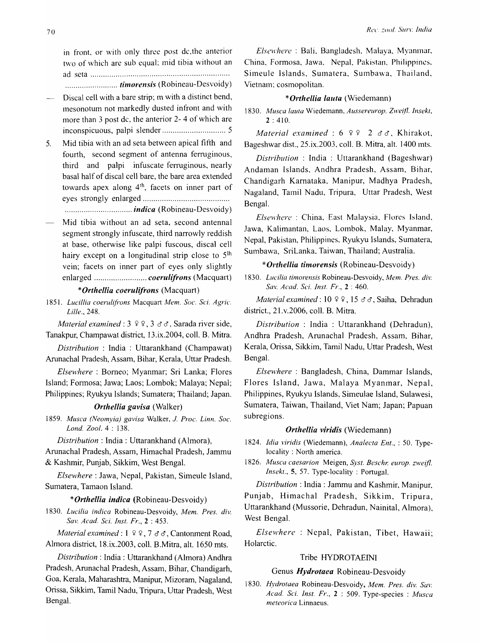in front, or with only three post dc,the anterior two of which are sub equal: mid tibia without an ad seta ................................................................. . ......................... *timorellsis* (Robineau-Desvoidy)

- Discal cell with a bare strip; m with a distinct bend,  $\overline{\phantom{a}}$ mesonotum not markedly dusted infront and with more than 3 post dc, the anterior 2- 4 of which are inconspicuous, palpi slender .............................. 5
- 5. Mid tibia with an ad seta between apical fifth and fourth, second segment of antenna ferruginous, third and palpi infuscate ferruginous, nearly basal half of discal cell bare, the bare area extended towards apex along 4<sup>th</sup>, facets on inner part of eyes strongly enlarged ........................................ .
	- ................................ *indica* (Robineau-Desvoidy)
- Mid tibia without an ad seta, second antennal segment strongly infuscate, third narrowly reddish at base, otherwise like palpi fuscous, discal cell hairy except on a longitudinal strip close to 5<sup>lh</sup> vein; facets on inner part of eyes only slightly enlarged ...............................*coerulifrons* (Macquart)

## *\*Orthellia coerulifrons* (Macquart)

*1851. Lucillia coerulifrons* Macquart *Mem. Soc. Sci. Agric. Lille.,* 248.

*Material examined:*  $3 \times 2 \times 3 \times 3$ , Sarada river side, Tanakpur, Champawat district, 13.ix.2004, colI. B. Mitra.

*Distribution* : India : Uttarankhand (Champawat) Arunachal Pradesh, Assam, Bihar, Kerala, Uttar Pradesh.

*Elsewhere:* Borneo; Myanmar; Sri Lanka; Flores Island; Formosa; Jawa; Laos; Lombok; Malaya; Nepal; Philippines; Ryukyu Islands; Sumatera; Thailand; Japan.

#### *Orthellia gavisa* (Walker)

*1859. Musca (Neomyia) gavisa* Walker, 1. *Proc. Linn. Soc. Lond. Zool.* 4 : 138.

*Distribution:* India: Uttarankhand (Almora),

Arunachal Pradesh, Assam, Himachal Pradesh, Jammu & Kashmir, Punjab, Sikkim, West Bengal.

*Elsewhere:* Jawa, Nepal, Pakistan, Simeule Island, Sumatera, Tamaon Island.

## *\*Orthellia indica* (Robineau-Desvoidy)

*1830. Llicilia indica* Robineau-Desvoidy, *Mem. Pres. div. Sav. Acad. Sci. Inst. Fr.,* 2 : 453.

*Material examined*:  $1 \times 2 \times 7 \times 6$ , Cantonment Road, Almora district, 18.ix.2003, colI. B.Mitra, alt. 1650 mts.

*Distribution:* India: Uttarankhand (Almora) Andhra Pradesh, Arunachal Pradesh, Assam, Bihar, Chandigarh, Goa, Kerala, Maharashtra, Manipur, Mizoram, Nagaland, Orissa, Sikkim, Tamil Nadu, Tripura, Uttar Pradesh, West Bengal.

*ElscH'hcre* : Bali, Bangladesh, Malaya, Myanmar, China, Formosa, Jawa, Nepal, Pakistan, Philippines, Simeule Islands, Sumatera, Sumbawa, Thailand, Vietnam; cosmopolitan.

# \* Orthellia lauta (Wiedemann)

1830. Musca lauta Wiedemann, *Aussereurop. Zweifl. Insekt*,  $2:410.$ 

*Material examined:*  $6 \times 2 \times 3$ , Khirakot, Bageshwar dist., 25.ix.2003, colI. B. Mitra, alt. 1400 mts.

*Distribution* : India : Uttarankhand (Bageshwar) Andaman Islands, Andhra Pradesh, Assam, Bihar, Chandigarh Karnataka, Manipur, Madhya Pradesh, Nagaland, Tamil Nadu, Tripura, Uttar Pradesh, West Bengal.

*Elsewhere* : China, East Malaysia, Flores Island, Jawa, Kalimantan, Laos, Lombok, Malay, Myanmar, Nepal, Pakistan, Philippines, Ryukyu Islands, Sumatera, Sumbawa, SriLanka, Taiwan, Thailand; Australia.

## *\*O,.thellia timorensis* (Robineau-Desvoidy)

1830. Lucilia timorensis Robineau-Desvoidy, Mem. Pres. div. *Sal: Acad. Sci. Inst. Fr.,* 2 : 460.

*Material examined:* 10 º º, 15 & &, Saiha, Dehradun district., 21.v.2006, colI. B. Mitra.

*Distribution* : India : Uttarankhand (Dehradun), Andhra Pradesh, Arunachal Pradesh, Assam, Bihar, Kerala, Orissa, Sikkim, Tamil Nadu, Uttar Pradesh, West Bengal.

*Elsewhere* : Bangladesh, China, Dammar Islands, Flores Island, Jawa, Malaya Myanmar, Nepal, Philippines, Ryukyu Islands, Simeulae Island, Sulawesi, Sumatera, Taiwan, Thailand, Viet Nam; Japan; Papuan subregions.

#### *Orthellia viridis* (Wiedemann)

*1824. Idia viridis* (Wiedemann), *Analecta Ent.,* : 50. Typelocality: North america.

*1826. Musca caesarion* Meigen, *Syst. Beschr. europ. zweijl. Insekt.*, 5, 57. Type-locality: Portugal.

*Distribution:* India: Jammu and Kashmir, Manipur, Punjab, Himachal Pradesh, Sikkim, Tripura, Uttarankhand (Mussorie, Dehradun, Nainital, Almora), West Bengal.

*Elsewhere* : Nepal, Pakistan, Tibet, Hawaii; Holarctic.

# Tribe HYDROTAEINI

## Genus *Hydrotaea* Robineau-Desvoidy

*1830. Hydrotaea* Robineau-Desvoidy, *Mem. Pres. div. Sav. Acad. Sci. Inst. Fr.,* 2 : 509. Type-species : *Musca meteorica* Linnaeus.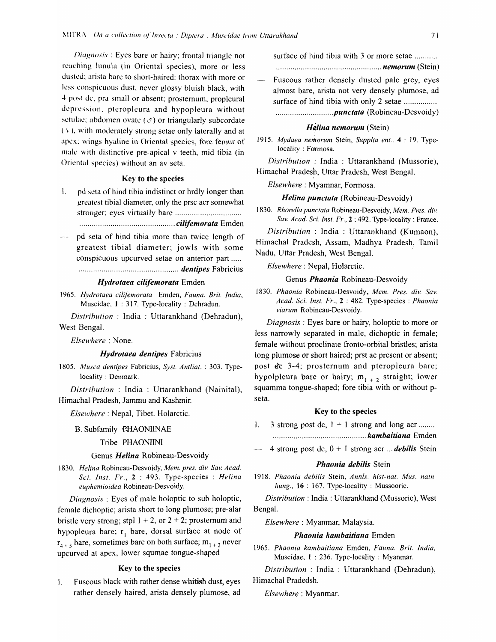Diagnosis: Eyes bare or hairy; frontal triangle not reaching lunula (in Oriental species), more or less dusted; arista bare to short-haired: thorax with more or less conspicuous dust, never glossy bluish black, with 4 post dc, pra small or absent; prosternum, propleural depression, pteropleura and hypopleura without setulae; abdomen ovate  $(\sigma)$  or triangularly subcordate  $(*)$ , with moderately strong setae only laterally and at apex; wings hyaline in Oriental species, fore femur of male with distinctive pre-apical v teeth, mid tibia (in Oriental species) without an av seta.

## Key to the species

 $\mathbf{L}$ pd seta of hind tibia indistinct or hrdly longer than greatest tibial diameter, only the prsc acr somewhat 

pd seta of hind tibia more than twice length of greatest tibial diameter; jowls with some conspicuous upcurved setae on anterior part ..... 

#### Hvdrotaea cilifemorata Emden

1965. Hydrotaea cilifemorata Emden, Fauna. Brit. India, Muscidae, 1:317. Type-locality: Dehradun.

Distribution : India : Uttarankhand (Dehradun), West Bengal.

Elsewhere: None.

#### Hydrotaea dentipes Fabricius

1805. Musca dentipes Fabricius, Syst. Antliat.: 303. Typelocality: Denmark.

Distribution : India : Uttarankhand (Nainital), Himachal Pradesh, Jammu and Kashmir.

Elsewhere: Nepal, Tibet. Holarctic.

#### **B.** Subfamily PHAONIINAE

# Tribe PHAONIINI

#### Genus Helina Robineau-Desvoidy

1830. Helina Robineau-Desvoidy, Mem. pres. div. Sav. Acad. Sci. Inst. Fr., 2: 493. Type-species : Helina euphemioidea Robineau-Desvoidy.

*Diagnosis*: Eyes of male holoptic to sub holoptic, female dichoptic; arista short to long plumose; pre-alar bristle very strong; stpl  $1 + 2$ , or  $2 + 2$ ; prosternum and hypopleura bare;  $r_1$  bare, dorsal surface at node of  $r_{4+5}$  bare, sometimes bare on both surface;  $m_{1+2}$  never upcurved at apex, lower squmae tongue-shaped

## Key to the species

Fuscous black with rather dense whitish dust, eyes  $\mathbf{L}$ rather densely haired, arista densely plumose, ad

surface of hind tibia with 3 or more setae ......... 

- Fuscous rather densely dusted pale grey, eyes almost bare, arista not very densely plumose, ad
- surface of hind tibia with only 2 setae ................

## Helina nemorum (Stein)

1915. Mydaea nemorum Stein, Supplta ent., 4 : 19. Typelocality: Formosa.

Distribution: India: Uttarankhand (Mussorie), Himachal Pradesh, Uttar Pradesh, West Bengal.

Elsewhere: Myamnar, Formosa.

#### Helina punctata (Robineau-Desvoidy)

1830. Rhorella punctata Robineau-Desvoidy, Mem. Pres. div. Sav. Acad. Sci. Inst. Fr., 2:492. Type-locality: France.

Distribution : India : Uttarankhand (Kumaon). Himachal Pradesh, Assam, Madhya Pradesh, Tamil Nadu, Uttar Pradesh, West Bengal.

#### Elsewhere: Nepal, Holarctic.

## Genus Phaonia Robineau-Desvoidy

1830. Phaonia Robineau-Desvoidy, Mem. Pres. div. Sav. Acad. Sci. Inst. Fr., 2 : 482. Type-species : Phaonia viarum Robineau-Desvoidy.

*Diagnosis*: Eyes bare or hairy, holoptic to more or less narrowly separated in male, dichoptic in female; female without proclinate fronto-orbital bristles; arista long plumose or short haired; prst ac present or absent; post dc 3-4; prosternum and pteropleura bare; hypolpleura bare or hairy;  $m_{1+2}$  straight; lower squamma tongue-shaped; fore tibia with or without pseta.

#### Key to the species

- 3 strong post dc,  $1 + 1$  strong and long acr.......  $1.$
- 4 strong post dc,  $0 + 1$  strong acr ... *debilis* Stein

#### Phaonia debilis Stein

1918. Phaonia debilis Stein, Annls. hist-nat. Mus. natn. hung.,  $16:167$ . Type-locality: Mussoorie.

Distribution: India: Uttarankhand (Mussorie), West Bengal.

*Elsewhere*: Myanmar, Malaysia.

#### Phaonia kambaitiana Emden

1965. Phaonia kambaitiana Emden, Fauna. Brit. India, Muscidae, 1: 236. Type-locality: Myanmar.

Distribution : India : Uttarankhand (Dehradun), Himachal Pradedsh.

Elsewhere: Myanmar.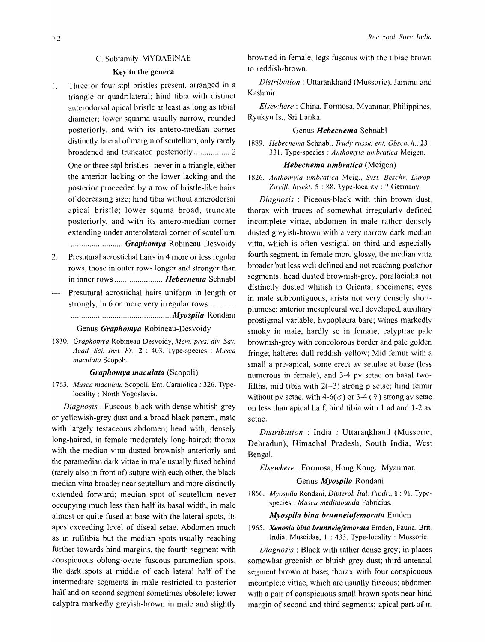# C. Subfamily MYDAEINAE

# Key to the genera

]. Three or four stpl bristles present, arranged in a triangle or quadrilateral; hind tibia with distinct anterodorsal apical bristle at least as long as tibial diameter; lower squama usually narrow, rounded posteriorly, and with its antero-median corner distinctly lateral of margin of scutellum, only rarely broadened and truncated posteriorly ................. 2

One or three stpl bristles never in a triangle, either the anterior lacking or the lower lacking and the posterior proceeded by a row of bristle-like hairs of decreasing size; hind tibia without anterodorsal apical bristle; lower squma broad, truncate posteriorly, and with its antero-median corner extending under anterolateral comer of scutellum ......................... *Graphomya* Robineau-Desvoidy

- 2. Presutural acrostichal hairs in 4 more or less regular rows, those in outer rows longer and stronger than in inner rows ....................... *Hebecnema* Schnabl
- Presutural acrostichal hairs uniform in length or strongly, in 6 or more very irregular rows ............ ................................................ *Myospi/a* Rondani

#### Genus *Graphomya* Robineau-Desvoidy

1830. Graphomya Robineau-Desvoidy, Mem. pres. div. Sav. *Acad. Sci. lnst. Fr..* 2 : 403. Type-species: *Musca maculata* Scopoli.

#### *Graphomya maculata* (Scopoli)

*1763. Musca maculata* Scopoli, Ent. Carniolica : 326. Typelocality: North Yogoslavia.

*Diagnosis:* Fuscous-black with dense whitish-grey or yellowish-grey dust and a broad black pattern, male with largely testaceous abdomen; head with, densely long-haired, in female moderately long-haired; thorax with the median vitta dusted brownish anteriorly and the paramedian dark vittae in male usually fused behind (rarely also in front of) suture with each other, the black median vitta broader near seutellum and more distinctly extended forward; median spot of scutellum never occupying much less than half its basal width, in male almost or quite fused at base with the lateral spots, its apes exceeding level of diseal setae. Abdomen much as in rufitibia but the median spots usually reaching further towards hind margins, the fourth segment with conspicuous oblong-ovate fuscous paramedian spots, the dark .spots at middle of each lateral half of the intermediate segments in male restricted to posterior half and on second segment sometimes obsolete; lower calyptra markedly greyish-brown in male and slightly

browned in female; legs fuscous with the tibiae brown to reddish-brown.

*Distribution:* Uttarankhand (Mussorie). Jammu and Kashmir.

*Elsewhere:* China, Formosa, Myanmar, Philippines, Ryukyu Is., Sri Lanka.

#### Genus *Hebecnema* Schnabl

1889. Hebecnema Schnabl, *Trudy russk. ent. Obschch.*, 23 : 331. Type-species: *Anthomyia umbratica* Meigen.

#### *Hebecnema 11mbratica* (Meigen)

1826. Anthomyia umbratica Meig., Syst. Beschr. Europ. Zweifl. Insekt. 5:88. Type-locality: ? Germany.

*Diagnosis* : Piceous-black with thin brown dust, thorax with traces of somewhat irregularly defined incomplete vittae, abdomen in male rather densely dusted greyish-brown with a very narrow dark median vitta, which is often vestigial on third and especially fourth segment, in female more glossy, the median vitta broader but less well defined and not reaching posterior segments; head dusted brownish-grey, parafacialia not distinctly dusted whitish in Oriental specimens; eyes in male subcontiguous, arista not very densely shortplumose; anterior mesopleural well developed, auxiliary prostigmal variable, hypopleura bare; wings markedly smoky in male, hardly so in female; calyptrae pale brownish-grey with concolorous border and pale golden fringe; halteres dull reddish-yellow; Mid femur with a small a pre-apical, some erect av setulae at base (less numerous in female), and 3-4 pv setae on basal twofifths, mid tibia with  $2(-3)$  strong p setae; hind femur without pv setae, with 4-6( $\sigma$ ) or 3-4 ( $\sigma$ ) strong av setae on less than apical half, hind tibia with 1 ad and 1-2 av setae.

*Distribution* : India : Uttarankhand (Mussorie, Dehradun), Himachal Pradesh, South India, West Bengal.

*Elsewhere:* Formosa, Hong Kong, Myanmar.

# Genus *Myospi/a* Rondani

*1856. Myospi/a* Rondani, *Dipterol. Ital. Prodr.,* 1 : 91. Typespecies: *Musca meditabunda* Fabricius.

## *Myospi/a bina brunneiofemorata* Emden

*1965. Xenosia bina brunneiofemorata* Emden, Fauna. Brit. India, Muscidae, 1 : 433. Type-locality: Mussorie.

*Diagnosis* : Black with rather dense grey; in places somewhat greenish or bluish grey dust; third antennal segment brown at base; thorax with four conspicuous incomplete vittae, which are usually fuscous; abdomen with a pair of conspicuous small brown spots near hind margin of second and third segments; apical part of m